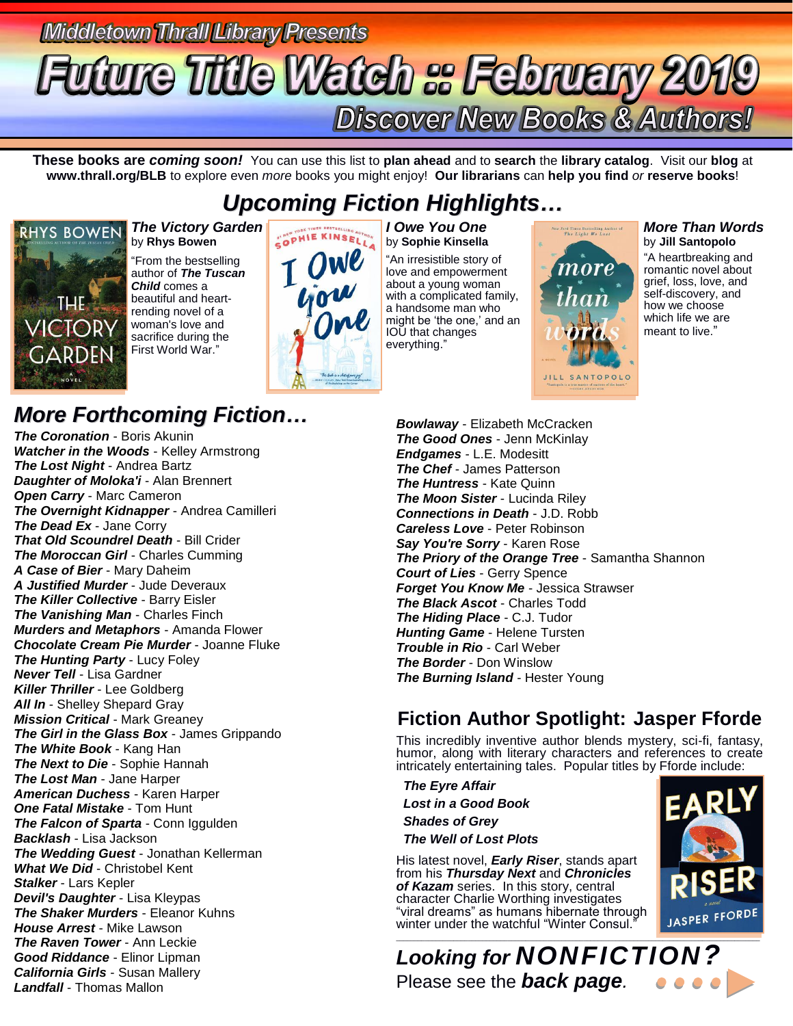### **Middletown Thrall Library Presents tuture Title Watch & February 2019 Discover New Books & Authors!**

**These books are** *coming soon!* You can use this list to **plan ahead** and to **search** the **library catalog**. Visit our **blog** at **www.thrall.org/BLB** to explore even *more* books you might enjoy! **Our librarians** can **help you find** *or* **reserve books**!

### *Upcoming Fiction Highlights…*



#### *The Victory Garden* by **Rhys Bowen**

"From the bestselling author of *The Tuscan Child* comes a beautiful and heartrending novel of a woman's love and sacrifice during the First World War."



*I Owe You One* by **Sophie Kinsella**

"An irresistible story of love and empowerment about a young woman with a complicated family, a handsome man who might be 'the one,' and an IOU that changes everything."



#### *More Than Words* by **Jill Santopolo**

"A heartbreaking and romantic novel about grief, loss, love, and self-discovery, and how we choose which life we are meant to live."

### *More Forthcoming Fiction…*

*The Coronation* - Boris Akunin *Watcher in the Woods* - Kelley Armstrong *The Lost Night* - Andrea Bartz *Daughter of Moloka'i* - Alan Brennert *Open Carry* - Marc Cameron *The Overnight Kidnapper* - Andrea Camilleri *The Dead Ex* - Jane Corry *That Old Scoundrel Death* - Bill Crider *The Moroccan Girl* - Charles Cumming *A Case of Bier* - Mary Daheim *A Justified Murder* - Jude Deveraux *The Killer Collective* - Barry Eisler *The Vanishing Man* - Charles Finch *Murders and Metaphors* - Amanda Flower *Chocolate Cream Pie Murder* - Joanne Fluke *The Hunting Party - Lucy Foley Never Tell* - Lisa Gardner *Killer Thriller* - Lee Goldberg **All In** - Shelley Shepard Gray *Mission Critical* - Mark Greaney *The Girl in the Glass Box* - James Grippando *The White Book* - Kang Han *The Next to Die* - Sophie Hannah *The Lost Man* - Jane Harper *American Duchess* - Karen Harper *One Fatal Mistake* - Tom Hunt *The Falcon of Sparta* - Conn Iggulden *Backlash* - Lisa Jackson *The Wedding Guest* - Jonathan Kellerman *What We Did* - Christobel Kent *Stalker* - Lars Kepler *Devil's Daughter* - Lisa Kleypas *The Shaker Murders* - Eleanor Kuhns *House Arrest* - Mike Lawson *The Raven Tower* - Ann Leckie *Good Riddance* - Elinor Lipman *California Girls* - Susan Mallery *Landfall* - Thomas Mallon

*Bowlaway* - Elizabeth McCracken *The Good Ones* - Jenn McKinlay *Endgames* - L.E. Modesitt *The Chef* - James Patterson *The Huntress* - Kate Quinn *The Moon Sister* - Lucinda Riley *Connections in Death* - J.D. Robb *Careless Love* - Peter Robinson *Say You're Sorry* - Karen Rose *The Priory of the Orange Tree* - Samantha Shannon *Court of Lies* - Gerry Spence *Forget You Know Me* - Jessica Strawser *The Black Ascot* - Charles Todd *The Hiding Place* - C.J. Tudor *Hunting Game* - Helene Tursten *Trouble in Rio* - Carl Weber *The Border* - Don Winslow *The Burning Island* - Hester Young

### **Fiction Author Spotlight: Jasper Fforde**

This incredibly inventive author blends mystery, sci-fi, fantasy, humor, along with literary characters and references to create intricately entertaining tales. Popular titles by Fforde include:

 *The Eyre Affair Lost in a Good Book Shades of Grey The Well of Lost Plots*

His latest novel, *Early Riser*, stands apart from his *Thursday Next* and *Chronicles of Kazam* series. In this story, central character Charlie Worthing investigates "viral dreams" as humans hibernate through winter under the watchful "Winter Consul."



 $\Box$  . The contribution of the contribution of the contribution of the contribution of the contribution of the contribution of the contribution of the contribution of the contribution of the contribution of the contributi *Looking for NONFICTION?* Please see the *back page.*